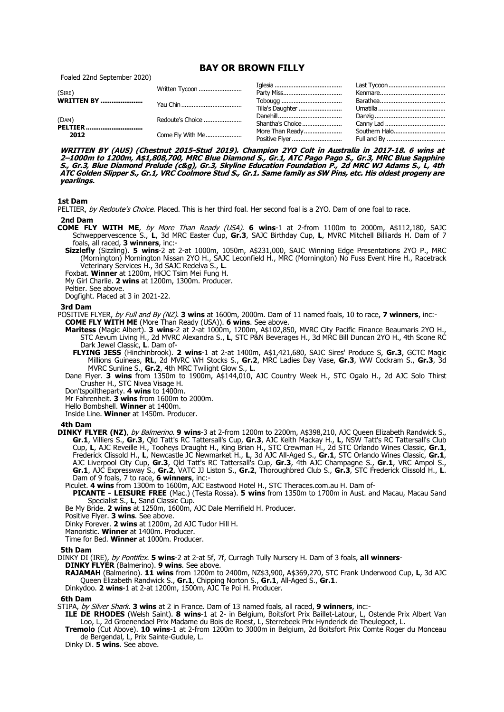# **BAY OR BROWN FILLY**

Foaled 22nd September 2020)

| (SIRE)<br><b>WRITTEN BY </b>    | Written Tycoon   |                  |               |
|---------------------------------|------------------|------------------|---------------|
|                                 |                  |                  |               |
|                                 |                  | Tilla's Daughter |               |
| (DAM)<br><b>PELTIER</b><br>2012 | Redoute's Choice |                  |               |
|                                 |                  | Shantha's Choice |               |
|                                 | Come Fly With Me | More Than Ready  | Southern Halo |
|                                 |                  |                  |               |

**WRITTEN BY (AUS) (Chestnut 2015-Stud 2019). Champion 2YO Colt in Australia in 2017-18. 6 wins at 2–1000m to 1200m, A\$1,808,700, MRC Blue Diamond S., Gr.1, ATC Pago Pago S., Gr.3, MRC Blue Sapphire S., Gr.3, Blue Diamond Prelude (c&g), Gr.3, Skyline Education Foundation P., 2d MRC WJ Adams S., L, 4th ATC Golden Slipper S., Gr.1, VRC Coolmore Stud S., Gr.1. Same family as SW Pins, etc. His oldest progeny are yearlings.**

## **1st Dam**

PELTIER, by Redoute's Choice. Placed. This is her third foal. Her second foal is a 2YO. Dam of one foal to race.

## **2nd Dam**

- **COME FLY WITH ME**, by More Than Ready (USA). **6 wins**-1 at 2-from 1100m to 2000m, A\$112,180, SAJC Schweppervescence S., **L**, 3d MRC Easter Cup, **Gr.3**, SAJC Birthday Cup, **L**, MVRC Mitchell Billiards H. Dam of 7 foals, all raced, **3 winners**, inc:-
	- **Sizzlefly** (Sizzling). **5 wins**-2 at 2-at 1000m, 1050m, A\$231,000, SAJC Winning Edge Presentations 2YO P., MRC (Mornington) Mornington Nissan 2YO H., SAJC Leconfield H., MRC (Mornington) No Fuss Event Hire H., Racetrack Veterinary Services H., 3d SAJC Redelva S., **L**.
	- Foxbat. **Winner** at 1200m, HKJC Tsim Mei Fung H.

My Girl Charlie. **2 wins** at 1200m, 1300m. Producer.

Peltier. See above.

Dogfight. Placed at 3 in 2021-22.

### **3rd Dam**

POSITIVE FLYER, by Full and By (NZ). **3 wins** at 1600m, 2000m. Dam of 11 named foals, 10 to race, **7 winners**, inc:- **COME FLY WITH ME** (More Than Ready (USA)). **6 wins**. See above.

**Maritess** (Magic Albert). **3 wins**-2 at 2-at 1000m, 1200m, A\$102,850, MVRC City Pacific Finance Beaumaris 2YO H., STC Aevum Living H., 2d MVRC Alexandra S., **L**, STC P&N Beverages H., 3d MRC Bill Duncan 2YO H., 4th Scone RC Dark Jewel Classic, **L**. Dam of-

- **FLYING JESS** (Hinchinbrook). **2 wins**-1 at 2-at 1400m, A\$1,421,680, SAJC Sires' Produce S, **Gr.3**, GCTC Magic Millions Guineas, **RL**, 2d MVRC WH Stocks S., **Gr.2**, MRC Ladies Day Vase, **Gr.3**, WW Cockram S., **Gr.3**, 3d MVRC Sunline S., **Gr.2**, 4th MRC Twilight Glow S., **L**.
- Dane Flyer. **3 wins** from 1350m to 1900m, A\$144,010, AJC Country Week H., STC Ogalo H., 2d AJC Solo Thirst Crusher H., STC Nivea Visage H.

Don'tspoiltheparty. **4 wins** to 1400m.

Mr Fahrenheit. **3 wins** from 1600m to 2000m.

Hello Bombshell. **Winner** at 1400m.

Inside Line. **Winner** at 1450m. Producer.

### **4th Dam**

**DINKY FLYER (NZ)**, by Balmerino. **9 wins**-3 at 2-from 1200m to 2200m, A\$398,210, AJC Queen Elizabeth Randwick S., **Gr.1**, Villiers S., **Gr.3**, Qld Tatt's RC Tattersall's Cup, **Gr.3**, AJC Keith Mackay H., **L**, NSW Tatt's RC Tattersall's Club Cup, **L**, AJC Reveille H., Tooheys Draught H., King Brian H., STC Crewman H., 2d STC Orlando Wines Classic, **Gr.1**, Frederick Clissold H., **L**, Newcastle JC Newmarket H., **L**, 3d AJC All-Aged S., **Gr.1**, STC Orlando Wines Classic, **Gr.1**, AJC Liverpool City Cup, **Gr.3**, Qld Tatt's RC Tattersall's Cup, **Gr.3**, 4th AJC Champagne S., **Gr.1**, VRC Ampol S., **Gr.1**, AJC Expressway S., **Gr.2**, VATC JJ Liston S., **Gr.2**, Thoroughbred Club S., **Gr.3**, STC Frederick Clissold H., **L**. Dam of 9 foals, 7 to race, **6 winners**, inc:-

Piculet. **4 wins** from 1300m to 1600m, AJC Eastwood Hotel H., STC Theraces.com.au H. Dam of-

**PICANTE - LEISURE FREE** (Mac.) (Testa Rossa). **5 wins** from 1350m to 1700m in Aust. and Macau, Macau Sand Specialist S., **L**, Sand Classic Cup.

Be My Bride. **2 wins** at 1250m, 1600m, AJC Dale Merrifield H. Producer.

Positive Flyer. **3 wins**. See above.

Dinky Forever. **2 wins** at 1200m, 2d AJC Tudor Hill H.

Manoristic. **Winner** at 1400m. Producer.

Time for Bed. **Winner** at 1000m. Producer.

#### **5th Dam**

DINKY DI (IRE), by Pontifex. **5 wins**-2 at 2-at 5f, 7f, Curragh Tully Nursery H. Dam of 3 foals, **all winners**-

**DINKY FLYER** (Balmerino). **9 wins**. See above.

**RAJAMAH** (Balmerino). **11 wins** from 1200m to 2400m, NZ\$3,900, A\$369,270, STC Frank Underwood Cup, **L**, 3d AJC Queen Elizabeth Randwick S., **Gr.1**, Chipping Norton S., **Gr.1**, All-Aged S., **Gr.1**.

Dinkydoo. **2 wins**-1 at 2-at 1200m, 1500m, AJC Te Poi H. Producer.

## **6th Dam**

STIPA, by Silver Shark. **3 wins** at 2 in France. Dam of 13 named foals, all raced, **9 winners**, inc:-

**ILE DE RHODES** (Welsh Saint). **8 wins**-1 at 2- in Belgium, Boitsfort Prix Baillet-Latour, L, Ostende Prix Albert Van Loo, L, 2d Groenendael Prix Madame du Bois de Roest, L, Sterrebeek Prix Hynderick de Theulegoet, L.

**Tremolo** (Cut Above). **10 wins**-1 at 2-from 1200m to 3000m in Belgium, 2d Boitsfort Prix Comte Roger du Monceau de Bergendal, L, Prix Sainte-Gudule, L.

Dinky Di. **5 wins**. See above.